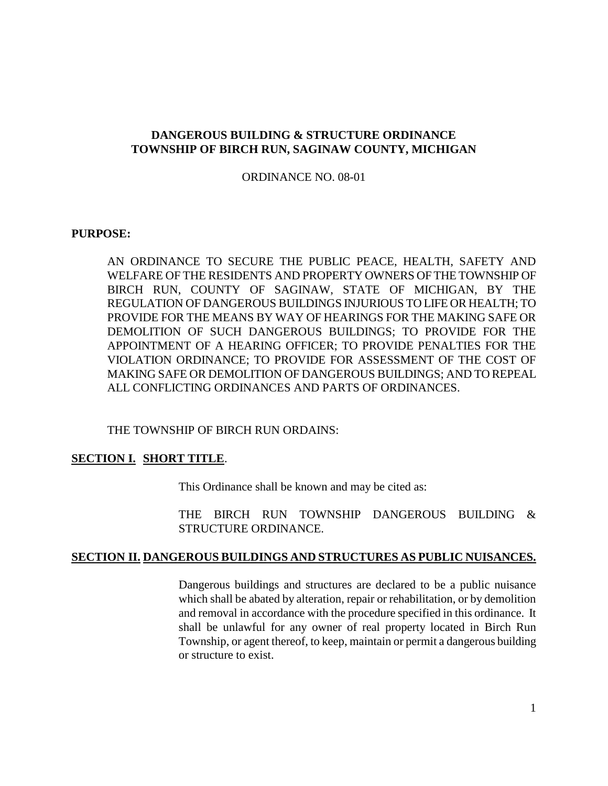# **DANGEROUS BUILDING & STRUCTURE ORDINANCE TOWNSHIP OF BIRCH RUN, SAGINAW COUNTY, MICHIGAN**

ORDINANCE NO. 08-01

#### **PURPOSE:**

AN ORDINANCE TO SECURE THE PUBLIC PEACE, HEALTH, SAFETY AND WELFARE OF THE RESIDENTS AND PROPERTY OWNERS OF THE TOWNSHIP OF BIRCH RUN, COUNTY OF SAGINAW, STATE OF MICHIGAN, BY THE REGULATION OF DANGEROUS BUILDINGS INJURIOUS TO LIFE OR HEALTH; TO PROVIDE FOR THE MEANS BY WAY OF HEARINGS FOR THE MAKING SAFE OR DEMOLITION OF SUCH DANGEROUS BUILDINGS; TO PROVIDE FOR THE APPOINTMENT OF A HEARING OFFICER; TO PROVIDE PENALTIES FOR THE VIOLATION ORDINANCE; TO PROVIDE FOR ASSESSMENT OF THE COST OF MAKING SAFE OR DEMOLITION OF DANGEROUS BUILDINGS; AND TO REPEAL ALL CONFLICTING ORDINANCES AND PARTS OF ORDINANCES.

THE TOWNSHIP OF BIRCH RUN ORDAINS:

## **SECTION I. SHORT TITLE**.

This Ordinance shall be known and may be cited as:

THE BIRCH RUN TOWNSHIP DANGEROUS BUILDING & STRUCTURE ORDINANCE.

#### **SECTION II. DANGEROUS BUILDINGS AND STRUCTURES AS PUBLIC NUISANCES.**

Dangerous buildings and structures are declared to be a public nuisance which shall be abated by alteration, repair or rehabilitation, or by demolition and removal in accordance with the procedure specified in this ordinance. It shall be unlawful for any owner of real property located in Birch Run Township, or agent thereof, to keep, maintain or permit a dangerous building or structure to exist.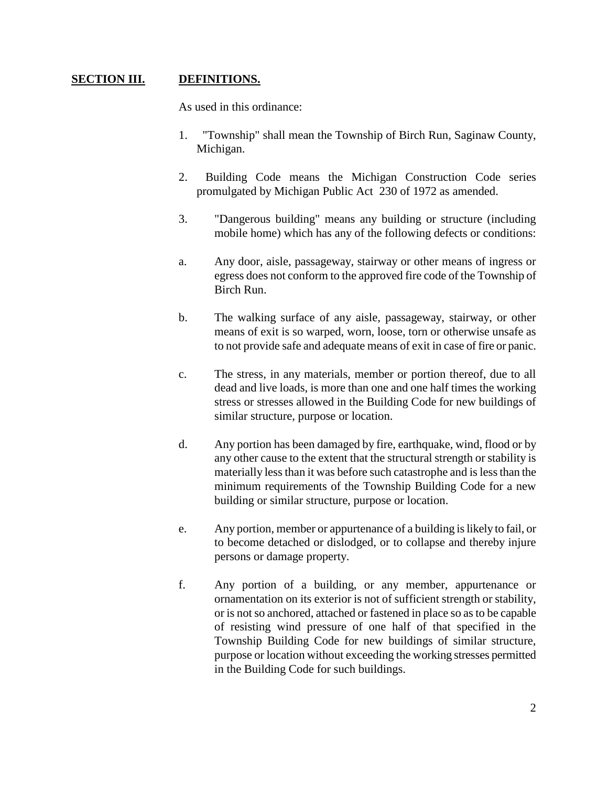# **SECTION III. DEFINITIONS.**

As used in this ordinance:

- 1. "Township" shall mean the Township of Birch Run, Saginaw County, Michigan.
- 2. Building Code means the Michigan Construction Code series promulgated by Michigan Public Act 230 of 1972 as amended.
- 3. "Dangerous building" means any building or structure (including mobile home) which has any of the following defects or conditions:
- a. Any door, aisle, passageway, stairway or other means of ingress or egress does not conform to the approved fire code of the Township of Birch Run.
- b. The walking surface of any aisle, passageway, stairway, or other means of exit is so warped, worn, loose, torn or otherwise unsafe as to not provide safe and adequate means of exit in case of fire or panic.
- c. The stress, in any materials, member or portion thereof, due to all dead and live loads, is more than one and one half times the working stress or stresses allowed in the Building Code for new buildings of similar structure, purpose or location.
- d. Any portion has been damaged by fire, earthquake, wind, flood or by any other cause to the extent that the structural strength or stability is materially less than it was before such catastrophe and is less than the minimum requirements of the Township Building Code for a new building or similar structure, purpose or location.
- e. Any portion, member or appurtenance of a building is likely to fail, or to become detached or dislodged, or to collapse and thereby injure persons or damage property.
- f. Any portion of a building, or any member, appurtenance or ornamentation on its exterior is not of sufficient strength or stability, or is not so anchored, attached or fastened in place so as to be capable of resisting wind pressure of one half of that specified in the Township Building Code for new buildings of similar structure, purpose or location without exceeding the working stresses permitted in the Building Code for such buildings.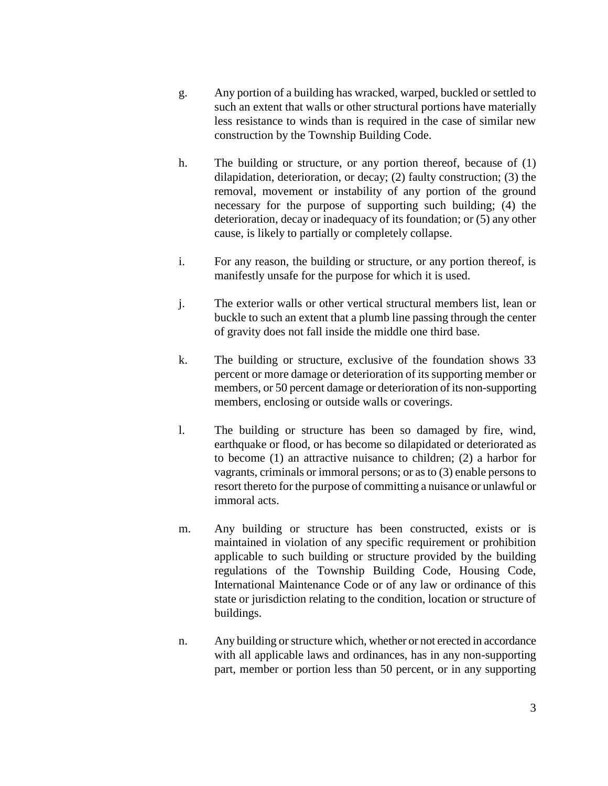- g. Any portion of a building has wracked, warped, buckled or settled to such an extent that walls or other structural portions have materially less resistance to winds than is required in the case of similar new construction by the Township Building Code.
- h. The building or structure, or any portion thereof, because of (1) dilapidation, deterioration, or decay; (2) faulty construction; (3) the removal, movement or instability of any portion of the ground necessary for the purpose of supporting such building; (4) the deterioration, decay or inadequacy of its foundation; or (5) any other cause, is likely to partially or completely collapse.
- i. For any reason, the building or structure, or any portion thereof, is manifestly unsafe for the purpose for which it is used.
- j. The exterior walls or other vertical structural members list, lean or buckle to such an extent that a plumb line passing through the center of gravity does not fall inside the middle one third base.
- k. The building or structure, exclusive of the foundation shows 33 percent or more damage or deterioration of its supporting member or members, or 50 percent damage or deterioration of its non-supporting members, enclosing or outside walls or coverings.
- l. The building or structure has been so damaged by fire, wind, earthquake or flood, or has become so dilapidated or deteriorated as to become (1) an attractive nuisance to children; (2) a harbor for vagrants, criminals or immoral persons; or as to (3) enable persons to resort thereto for the purpose of committing a nuisance or unlawful or immoral acts.
- m. Any building or structure has been constructed, exists or is maintained in violation of any specific requirement or prohibition applicable to such building or structure provided by the building regulations of the Township Building Code, Housing Code, International Maintenance Code or of any law or ordinance of this state or jurisdiction relating to the condition, location or structure of buildings.
- n. Any building or structure which, whether or not erected in accordance with all applicable laws and ordinances, has in any non-supporting part, member or portion less than 50 percent, or in any supporting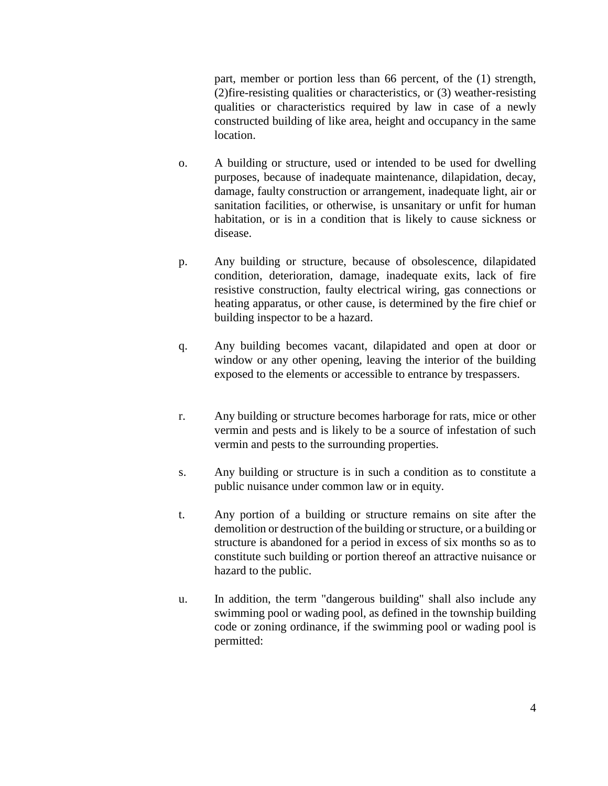part, member or portion less than 66 percent, of the (1) strength, (2)fire-resisting qualities or characteristics, or (3) weather-resisting qualities or characteristics required by law in case of a newly constructed building of like area, height and occupancy in the same location.

- o. A building or structure, used or intended to be used for dwelling purposes, because of inadequate maintenance, dilapidation, decay, damage, faulty construction or arrangement, inadequate light, air or sanitation facilities, or otherwise, is unsanitary or unfit for human habitation, or is in a condition that is likely to cause sickness or disease.
- p. Any building or structure, because of obsolescence, dilapidated condition, deterioration, damage, inadequate exits, lack of fire resistive construction, faulty electrical wiring, gas connections or heating apparatus, or other cause, is determined by the fire chief or building inspector to be a hazard.
- q. Any building becomes vacant, dilapidated and open at door or window or any other opening, leaving the interior of the building exposed to the elements or accessible to entrance by trespassers.
- r. Any building or structure becomes harborage for rats, mice or other vermin and pests and is likely to be a source of infestation of such vermin and pests to the surrounding properties.
- s. Any building or structure is in such a condition as to constitute a public nuisance under common law or in equity.
- t. Any portion of a building or structure remains on site after the demolition or destruction of the building or structure, or a building or structure is abandoned for a period in excess of six months so as to constitute such building or portion thereof an attractive nuisance or hazard to the public.
- u. In addition, the term "dangerous building" shall also include any swimming pool or wading pool, as defined in the township building code or zoning ordinance, if the swimming pool or wading pool is permitted: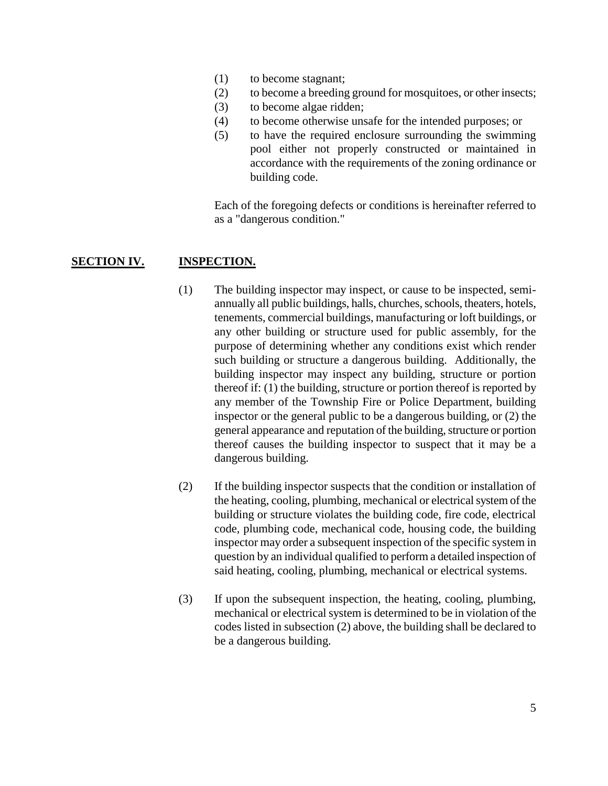- (1) to become stagnant;
- (2) to become a breeding ground for mosquitoes, or other insects;
- (3) to become algae ridden;
- (4) to become otherwise unsafe for the intended purposes; or
- (5) to have the required enclosure surrounding the swimming pool either not properly constructed or maintained in accordance with the requirements of the zoning ordinance or building code.

Each of the foregoing defects or conditions is hereinafter referred to as a "dangerous condition."

# **SECTION IV. INSPECTION.**

- (1) The building inspector may inspect, or cause to be inspected, semiannually all public buildings, halls, churches, schools, theaters, hotels, tenements, commercial buildings, manufacturing or loft buildings, or any other building or structure used for public assembly, for the purpose of determining whether any conditions exist which render such building or structure a dangerous building. Additionally, the building inspector may inspect any building, structure or portion thereof if: (1) the building, structure or portion thereof is reported by any member of the Township Fire or Police Department, building inspector or the general public to be a dangerous building, or (2) the general appearance and reputation of the building, structure or portion thereof causes the building inspector to suspect that it may be a dangerous building.
- (2) If the building inspector suspects that the condition or installation of the heating, cooling, plumbing, mechanical or electrical system of the building or structure violates the building code, fire code, electrical code, plumbing code, mechanical code, housing code, the building inspector may order a subsequent inspection of the specific system in question by an individual qualified to perform a detailed inspection of said heating, cooling, plumbing, mechanical or electrical systems.
- (3) If upon the subsequent inspection, the heating, cooling, plumbing, mechanical or electrical system is determined to be in violation of the codes listed in subsection (2) above, the building shall be declared to be a dangerous building.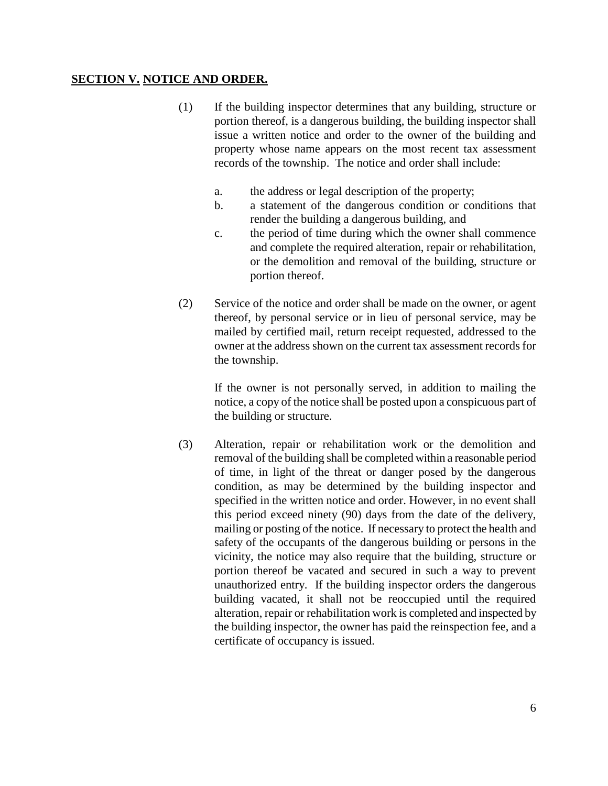# **SECTION V. NOTICE AND ORDER.**

- (1) If the building inspector determines that any building, structure or portion thereof, is a dangerous building, the building inspector shall issue a written notice and order to the owner of the building and property whose name appears on the most recent tax assessment records of the township. The notice and order shall include:
	- a. the address or legal description of the property;
	- b. a statement of the dangerous condition or conditions that render the building a dangerous building, and
	- c. the period of time during which the owner shall commence and complete the required alteration, repair or rehabilitation, or the demolition and removal of the building, structure or portion thereof.
- (2) Service of the notice and order shall be made on the owner, or agent thereof, by personal service or in lieu of personal service, may be mailed by certified mail, return receipt requested, addressed to the owner at the address shown on the current tax assessment records for the township.

If the owner is not personally served, in addition to mailing the notice, a copy of the notice shall be posted upon a conspicuous part of the building or structure.

(3) Alteration, repair or rehabilitation work or the demolition and removal of the building shall be completed within a reasonable period of time, in light of the threat or danger posed by the dangerous condition, as may be determined by the building inspector and specified in the written notice and order. However, in no event shall this period exceed ninety (90) days from the date of the delivery, mailing or posting of the notice. If necessary to protect the health and safety of the occupants of the dangerous building or persons in the vicinity, the notice may also require that the building, structure or portion thereof be vacated and secured in such a way to prevent unauthorized entry. If the building inspector orders the dangerous building vacated, it shall not be reoccupied until the required alteration, repair or rehabilitation work is completed and inspected by the building inspector, the owner has paid the reinspection fee, and a certificate of occupancy is issued.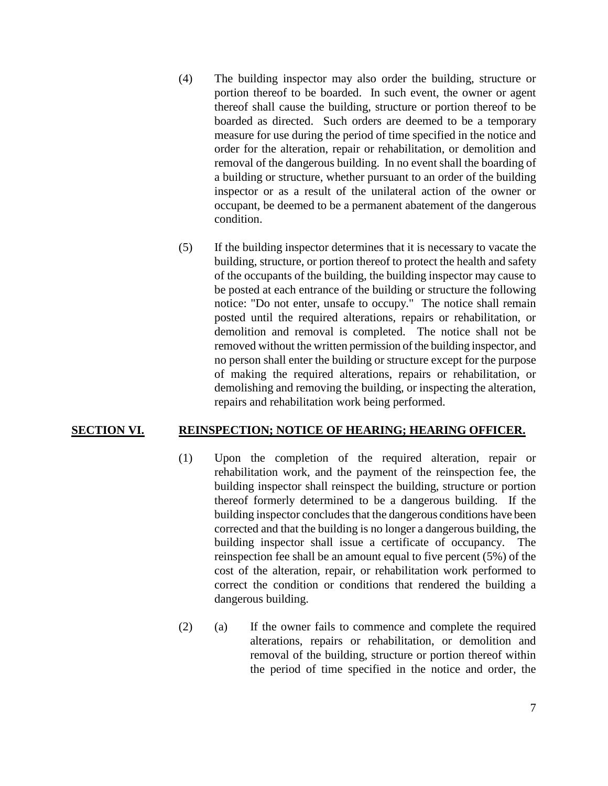- (4) The building inspector may also order the building, structure or portion thereof to be boarded. In such event, the owner or agent thereof shall cause the building, structure or portion thereof to be boarded as directed. Such orders are deemed to be a temporary measure for use during the period of time specified in the notice and order for the alteration, repair or rehabilitation, or demolition and removal of the dangerous building. In no event shall the boarding of a building or structure, whether pursuant to an order of the building inspector or as a result of the unilateral action of the owner or occupant, be deemed to be a permanent abatement of the dangerous condition.
- (5) If the building inspector determines that it is necessary to vacate the building, structure, or portion thereof to protect the health and safety of the occupants of the building, the building inspector may cause to be posted at each entrance of the building or structure the following notice: "Do not enter, unsafe to occupy." The notice shall remain posted until the required alterations, repairs or rehabilitation, or demolition and removal is completed. The notice shall not be removed without the written permission of the building inspector, and no person shall enter the building or structure except for the purpose of making the required alterations, repairs or rehabilitation, or demolishing and removing the building, or inspecting the alteration, repairs and rehabilitation work being performed.

## **SECTION VI. REINSPECTION; NOTICE OF HEARING; HEARING OFFICER.**

- (1) Upon the completion of the required alteration, repair or rehabilitation work, and the payment of the reinspection fee, the building inspector shall reinspect the building, structure or portion thereof formerly determined to be a dangerous building. If the building inspector concludes that the dangerous conditions have been corrected and that the building is no longer a dangerous building, the building inspector shall issue a certificate of occupancy. The reinspection fee shall be an amount equal to five percent (5%) of the cost of the alteration, repair, or rehabilitation work performed to correct the condition or conditions that rendered the building a dangerous building.
- (2) (a) If the owner fails to commence and complete the required alterations, repairs or rehabilitation, or demolition and removal of the building, structure or portion thereof within the period of time specified in the notice and order, the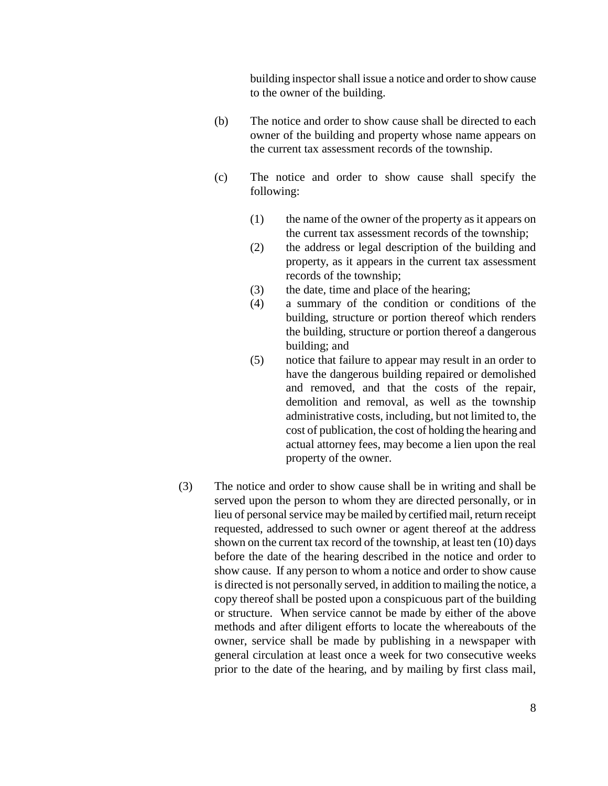building inspector shall issue a notice and order to show cause to the owner of the building.

- (b) The notice and order to show cause shall be directed to each owner of the building and property whose name appears on the current tax assessment records of the township.
- (c) The notice and order to show cause shall specify the following:
	- (1) the name of the owner of the property as it appears on the current tax assessment records of the township;
	- (2) the address or legal description of the building and property, as it appears in the current tax assessment records of the township;
	- (3) the date, time and place of the hearing;
	- (4) a summary of the condition or conditions of the building, structure or portion thereof which renders the building, structure or portion thereof a dangerous building; and
	- (5) notice that failure to appear may result in an order to have the dangerous building repaired or demolished and removed, and that the costs of the repair, demolition and removal, as well as the township administrative costs, including, but not limited to, the cost of publication, the cost of holding the hearing and actual attorney fees, may become a lien upon the real property of the owner.
- (3) The notice and order to show cause shall be in writing and shall be served upon the person to whom they are directed personally, or in lieu of personal service may be mailed by certified mail, return receipt requested, addressed to such owner or agent thereof at the address shown on the current tax record of the township, at least ten (10) days before the date of the hearing described in the notice and order to show cause. If any person to whom a notice and order to show cause is directed is not personally served, in addition to mailing the notice, a copy thereof shall be posted upon a conspicuous part of the building or structure. When service cannot be made by either of the above methods and after diligent efforts to locate the whereabouts of the owner, service shall be made by publishing in a newspaper with general circulation at least once a week for two consecutive weeks prior to the date of the hearing, and by mailing by first class mail,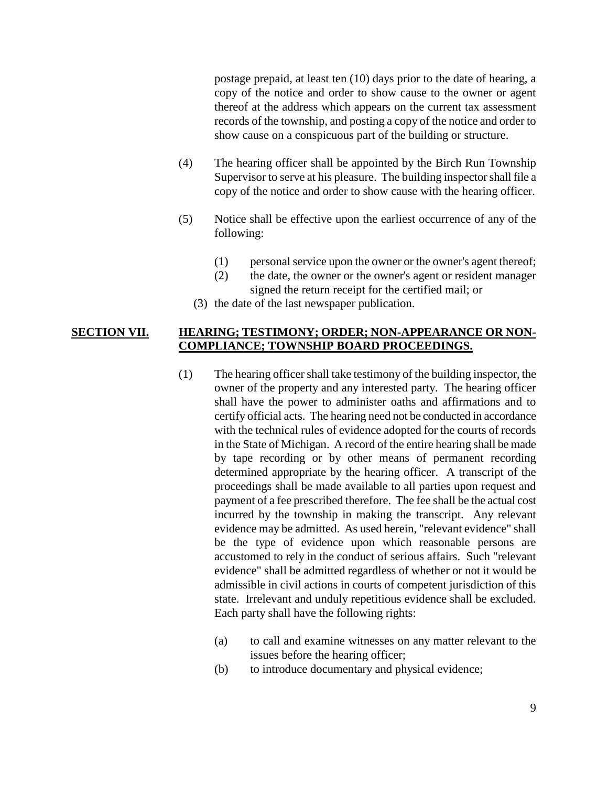postage prepaid, at least ten (10) days prior to the date of hearing, a copy of the notice and order to show cause to the owner or agent thereof at the address which appears on the current tax assessment records of the township, and posting a copy of the notice and order to show cause on a conspicuous part of the building or structure.

- (4) The hearing officer shall be appointed by the Birch Run Township Supervisor to serve at his pleasure. The building inspector shall file a copy of the notice and order to show cause with the hearing officer.
- (5) Notice shall be effective upon the earliest occurrence of any of the following:
	- (1) personal service upon the owner or the owner's agent thereof;
	- (2) the date, the owner or the owner's agent or resident manager signed the return receipt for the certified mail; or
	- (3) the date of the last newspaper publication.

### **SECTION VII. HEARING; TESTIMONY; ORDER; NON-APPEARANCE OR NON-COMPLIANCE; TOWNSHIP BOARD PROCEEDINGS.**

- (1) The hearing officer shall take testimony of the building inspector, the owner of the property and any interested party. The hearing officer shall have the power to administer oaths and affirmations and to certify official acts. The hearing need not be conducted in accordance with the technical rules of evidence adopted for the courts of records in the State of Michigan. A record of the entire hearing shall be made by tape recording or by other means of permanent recording determined appropriate by the hearing officer. A transcript of the proceedings shall be made available to all parties upon request and payment of a fee prescribed therefore. The fee shall be the actual cost incurred by the township in making the transcript. Any relevant evidence may be admitted. As used herein, "relevant evidence" shall be the type of evidence upon which reasonable persons are accustomed to rely in the conduct of serious affairs. Such "relevant evidence" shall be admitted regardless of whether or not it would be admissible in civil actions in courts of competent jurisdiction of this state. Irrelevant and unduly repetitious evidence shall be excluded. Each party shall have the following rights:
	- (a) to call and examine witnesses on any matter relevant to the issues before the hearing officer;
	- (b) to introduce documentary and physical evidence;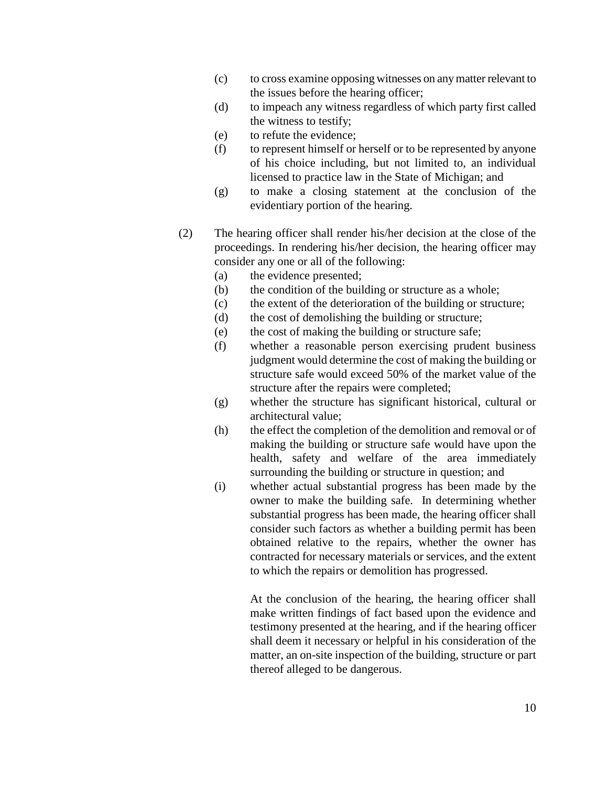- (c) to cross examine opposing witnesses on any matter relevant to the issues before the hearing officer;
- (d) to impeach any witness regardless of which party first called the witness to testify;
- (e) to refute the evidence;
- (f) to represent himself or herself or to be represented by anyone of his choice including, but not limited to, an individual licensed to practice law in the State of Michigan; and
- (g) to make a closing statement at the conclusion of the evidentiary portion of the hearing.
- (2) The hearing officer shall render his/her decision at the close of the proceedings. In rendering his/her decision, the hearing officer may consider any one or all of the following:
	- (a) the evidence presented;
	- (b) the condition of the building or structure as a whole;
	- (c) the extent of the deterioration of the building or structure;
	- (d) the cost of demolishing the building or structure;
	- (e) the cost of making the building or structure safe;
	- (f) whether a reasonable person exercising prudent business judgment would determine the cost of making the building or structure safe would exceed 50% of the market value of the structure after the repairs were completed;
	- (g) whether the structure has significant historical, cultural or architectural value;
	- (h) the effect the completion of the demolition and removal or of making the building or structure safe would have upon the health, safety and welfare of the area immediately surrounding the building or structure in question; and
	- (i) whether actual substantial progress has been made by the owner to make the building safe. In determining whether substantial progress has been made, the hearing officer shall consider such factors as whether a building permit has been obtained relative to the repairs, whether the owner has contracted for necessary materials or services, and the extent to which the repairs or demolition has progressed.

At the conclusion of the hearing, the hearing officer shall make written findings of fact based upon the evidence and testimony presented at the hearing, and if the hearing officer shall deem it necessary or helpful in his consideration of the matter, an on-site inspection of the building, structure or part thereof alleged to be dangerous.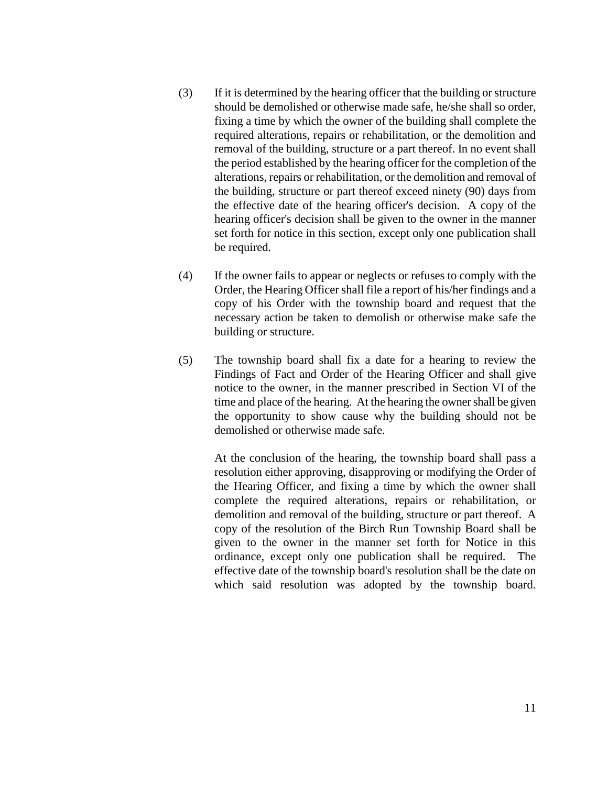- (3) If it is determined by the hearing officer that the building or structure should be demolished or otherwise made safe, he/she shall so order, fixing a time by which the owner of the building shall complete the required alterations, repairs or rehabilitation, or the demolition and removal of the building, structure or a part thereof. In no event shall the period established by the hearing officer for the completion of the alterations, repairs or rehabilitation, or the demolition and removal of the building, structure or part thereof exceed ninety (90) days from the effective date of the hearing officer's decision. A copy of the hearing officer's decision shall be given to the owner in the manner set forth for notice in this section, except only one publication shall be required.
- (4) If the owner fails to appear or neglects or refuses to comply with the Order, the Hearing Officer shall file a report of his/her findings and a copy of his Order with the township board and request that the necessary action be taken to demolish or otherwise make safe the building or structure.
- (5) The township board shall fix a date for a hearing to review the Findings of Fact and Order of the Hearing Officer and shall give notice to the owner, in the manner prescribed in Section VI of the time and place of the hearing. At the hearing the owner shall be given the opportunity to show cause why the building should not be demolished or otherwise made safe.

At the conclusion of the hearing, the township board shall pass a resolution either approving, disapproving or modifying the Order of the Hearing Officer, and fixing a time by which the owner shall complete the required alterations, repairs or rehabilitation, or demolition and removal of the building, structure or part thereof. A copy of the resolution of the Birch Run Township Board shall be given to the owner in the manner set forth for Notice in this ordinance, except only one publication shall be required. The effective date of the township board's resolution shall be the date on which said resolution was adopted by the township board.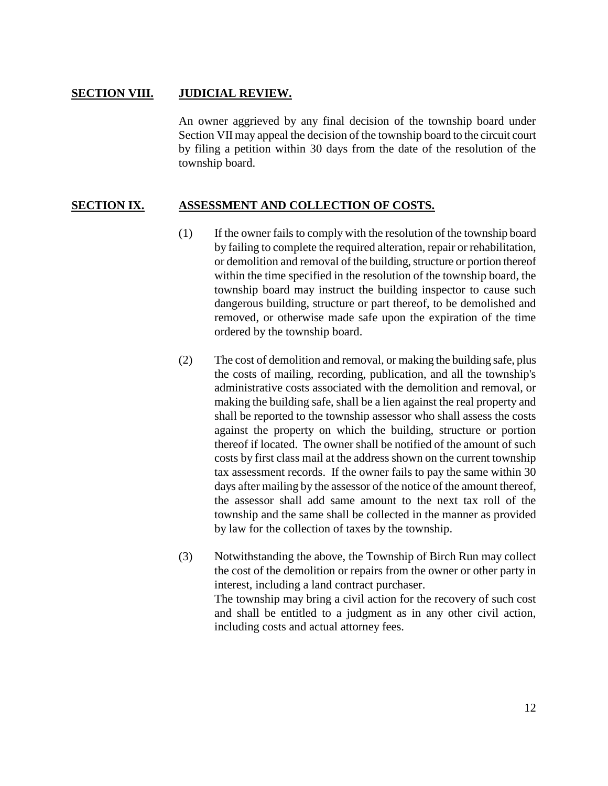#### **SECTION VIII. JUDICIAL REVIEW.**

An owner aggrieved by any final decision of the township board under Section VII may appeal the decision of the township board to the circuit court by filing a petition within 30 days from the date of the resolution of the township board.

#### **SECTION IX. ASSESSMENT AND COLLECTION OF COSTS.**

- (1) If the owner fails to comply with the resolution of the township board by failing to complete the required alteration, repair or rehabilitation, or demolition and removal of the building, structure or portion thereof within the time specified in the resolution of the township board, the township board may instruct the building inspector to cause such dangerous building, structure or part thereof, to be demolished and removed, or otherwise made safe upon the expiration of the time ordered by the township board.
- (2) The cost of demolition and removal, or making the building safe, plus the costs of mailing, recording, publication, and all the township's administrative costs associated with the demolition and removal, or making the building safe, shall be a lien against the real property and shall be reported to the township assessor who shall assess the costs against the property on which the building, structure or portion thereof if located. The owner shall be notified of the amount of such costs by first class mail at the address shown on the current township tax assessment records. If the owner fails to pay the same within 30 days after mailing by the assessor of the notice of the amount thereof, the assessor shall add same amount to the next tax roll of the township and the same shall be collected in the manner as provided by law for the collection of taxes by the township.
- (3) Notwithstanding the above, the Township of Birch Run may collect the cost of the demolition or repairs from the owner or other party in interest, including a land contract purchaser. The township may bring a civil action for the recovery of such cost

and shall be entitled to a judgment as in any other civil action, including costs and actual attorney fees.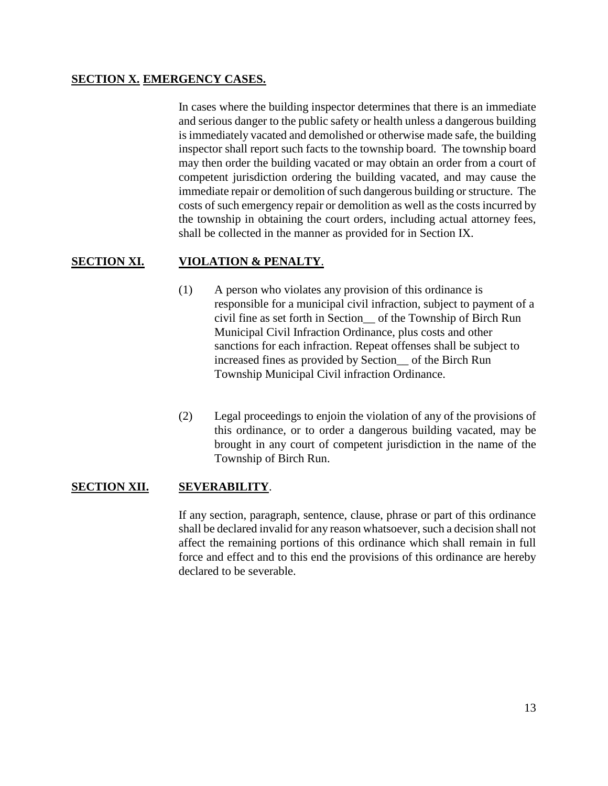## **SECTION X. EMERGENCY CASES.**

In cases where the building inspector determines that there is an immediate and serious danger to the public safety or health unless a dangerous building is immediately vacated and demolished or otherwise made safe, the building inspector shall report such facts to the township board. The township board may then order the building vacated or may obtain an order from a court of competent jurisdiction ordering the building vacated, and may cause the immediate repair or demolition of such dangerous building or structure. The costs of such emergency repair or demolition as well as the costs incurred by the township in obtaining the court orders, including actual attorney fees, shall be collected in the manner as provided for in Section IX.

# **SECTION XI. VIOLATION & PENALTY**.

- (1) A person who violates any provision of this ordinance is responsible for a municipal civil infraction, subject to payment of a civil fine as set forth in Section\_\_ of the Township of Birch Run Municipal Civil Infraction Ordinance, plus costs and other sanctions for each infraction. Repeat offenses shall be subject to increased fines as provided by Section\_\_ of the Birch Run Township Municipal Civil infraction Ordinance.
- (2) Legal proceedings to enjoin the violation of any of the provisions of this ordinance, or to order a dangerous building vacated, may be brought in any court of competent jurisdiction in the name of the Township of Birch Run.

## **SECTION XII. SEVERABILITY**.

If any section, paragraph, sentence, clause, phrase or part of this ordinance shall be declared invalid for any reason whatsoever, such a decision shall not affect the remaining portions of this ordinance which shall remain in full force and effect and to this end the provisions of this ordinance are hereby declared to be severable.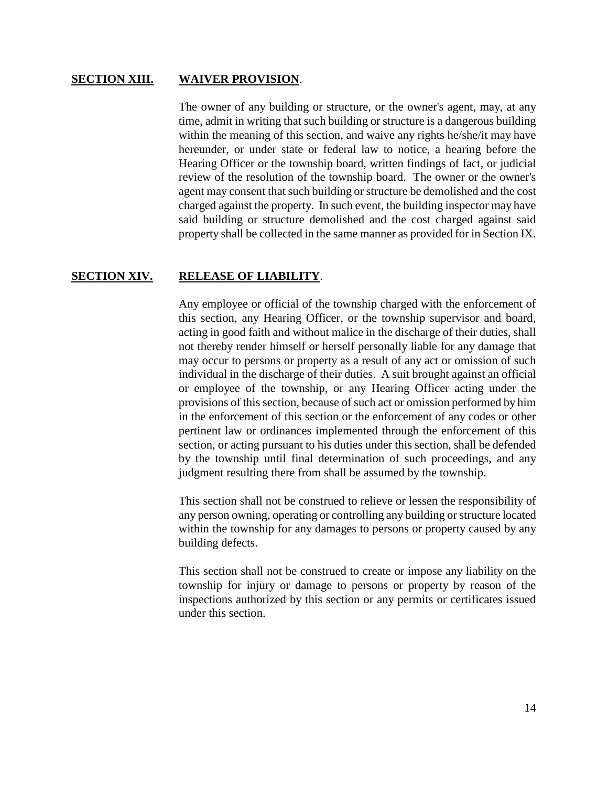#### **SECTION XIII. WAIVER PROVISION**.

The owner of any building or structure, or the owner's agent, may, at any time, admit in writing that such building or structure is a dangerous building within the meaning of this section, and waive any rights he/she/it may have hereunder, or under state or federal law to notice, a hearing before the Hearing Officer or the township board, written findings of fact, or judicial review of the resolution of the township board. The owner or the owner's agent may consent that such building or structure be demolished and the cost charged against the property. In such event, the building inspector may have said building or structure demolished and the cost charged against said property shall be collected in the same manner as provided for in Section IX.

#### **SECTION XIV. RELEASE OF LIABILITY**.

Any employee or official of the township charged with the enforcement of this section, any Hearing Officer, or the township supervisor and board, acting in good faith and without malice in the discharge of their duties, shall not thereby render himself or herself personally liable for any damage that may occur to persons or property as a result of any act or omission of such individual in the discharge of their duties. A suit brought against an official or employee of the township, or any Hearing Officer acting under the provisions of this section, because of such act or omission performed by him in the enforcement of this section or the enforcement of any codes or other pertinent law or ordinances implemented through the enforcement of this section, or acting pursuant to his duties under this section, shall be defended by the township until final determination of such proceedings, and any judgment resulting there from shall be assumed by the township.

This section shall not be construed to relieve or lessen the responsibility of any person owning, operating or controlling any building or structure located within the township for any damages to persons or property caused by any building defects.

This section shall not be construed to create or impose any liability on the township for injury or damage to persons or property by reason of the inspections authorized by this section or any permits or certificates issued under this section.